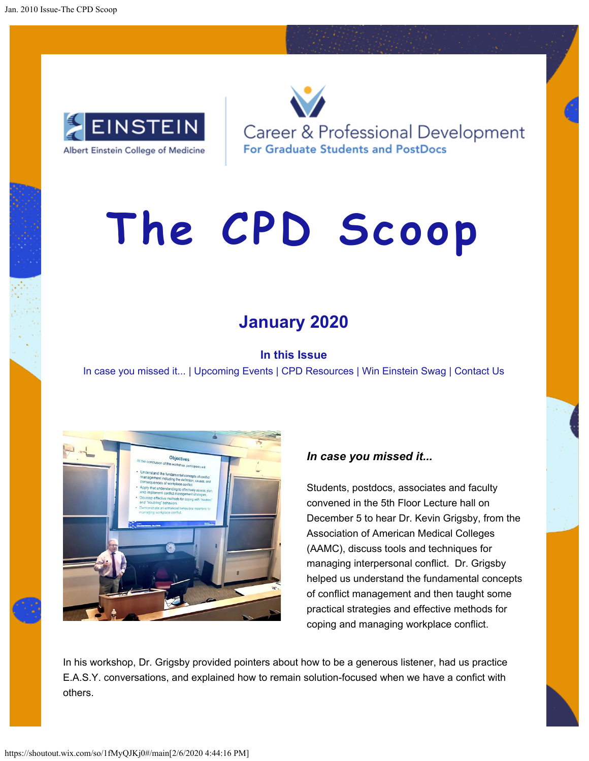

Career & Professional Development **For Graduate Students and PostDocs** 

# **The CPD Scoop**

## **January 2020**

#### **In this Issue**

In case you missed it... | Upcoming Events | CPD Resources | Win Einstein Swag | Contact Us



#### *In case you missed it...*

Students, postdocs, associates and faculty convened in the 5th Floor Lecture hall on December 5 to hear Dr. Kevin Grigsby, from the Association of American Medical Colleges (AAMC), discuss tools and techniques for managing interpersonal conflict. Dr. Grigsby helped us understand the fundamental concepts of conflict management and then taught some practical strategies and effective methods for coping and managing workplace conflict.

In his workshop, Dr. Grigsby provided pointers about how to be a generous listener, had us practice E.A.S.Y. conversations, and explained how to remain solution-focused when we have a confict with others.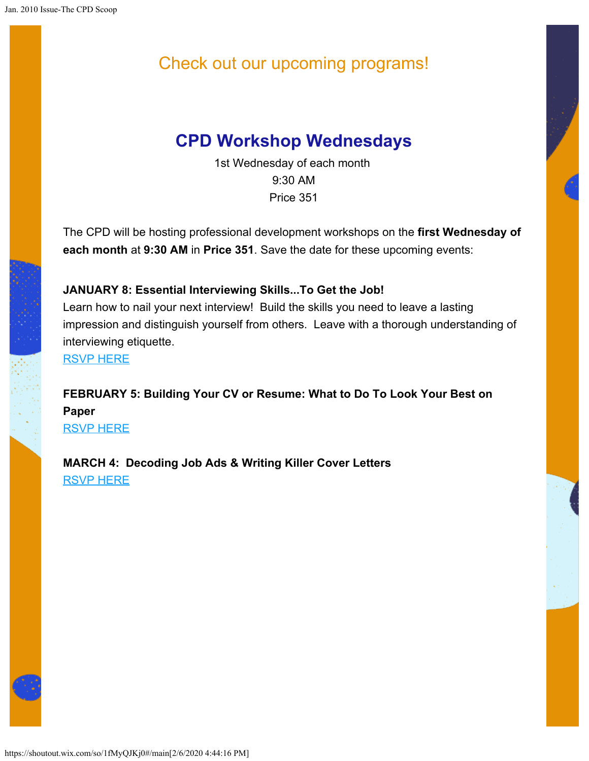# Check out our upcoming programs!

# **CPD Workshop Wednesdays**

1st Wednesday of each month 9:30 AM Price 351

The CPD will be hosting professional development workshops on the **first Wednesday of each month** at **9:30 AM** in **Price 351**. Save the date for these upcoming events:

#### **JANUARY 8: Essential Interviewing Skills...To Get the Job!**

Learn how to nail your next interview! Build the skills you need to leave a lasting impression and distinguish yourself from others. Leave with a thorough understanding of interviewing etiquette.

[RSVP HERE](https://shoutout.wix.com/so/1fMyQJKj0/c?w=qBBep12xIEeRmUR83sMb2nJtMx5OPfeLYw86z1bbnuE.eyJ1IjoiaHR0cHM6Ly93d3cuZXZlbnRicml0ZS5jb20vZS9lc3NlbnRpYWwtaW50ZXJ2aWV3aW5nLXNraWxsc3RvLWdldC10aGUtam9iLXRpY2tldHMtODQ2MjczODM3ODMiLCJyIjoiODdjNDYwOTItMzQ3MC00OThiLWM5ZmMtYjY3NjEzZTc0NTZjIiwibSI6ImxwIn0)

**FEBRUARY 5: Building Your CV or Resume: What to Do To Look Your Best on Paper** [RSVP HERE](https://shoutout.wix.com/so/1fMyQJKj0/c?w=Ze8wDJj4dXzUtsnK7dT0yybuY0oy3p_4cWKM2F8JVfE.eyJ1IjoiaHR0cHM6Ly93d3cuZXZlbnRicml0ZS5jb20vZS9idWlsZGluZy15b3VyLWN2LW9yLXJlc3VtZS13aGF0LXRvLWRvLXRvLWxvb2steW91ci1iZXN0LW9uLXBhcGVyLXRpY2tldHMtODU2NzY5NzMxMzM_cmVmPWVzdHciLCJyIjoiODdjNDYwOTItMzQ3MC00OThiLWM5ZmMtYjY3NjEzZTc0NTZjIiwibSI6ImxwIn0)

**MARCH 4: Decoding Job Ads & Writing Killer Cover Letters** [RSVP HERE](https://shoutout.wix.com/so/1fMyQJKj0/c?w=_E3R757wQBljvFKIVCMumeNNSPCU4GfDvKaSqnhDir0.eyJ1IjoiaHR0cHM6Ly93d3cuZXZlbnRicml0ZS5jb20vZS9kZWNvZGluZy1qb2ItYWRzLXdyaXRpbmcta2lsbGVyLWNvdmVyLWxldHRlcnMtdGlja2V0cy04NTY3MzY4NTI5OT9yZWY9ZXN0dyIsInIiOiI4N2M0NjA5Mi0zNDcwLTQ5OGItYzlmYy1iNjc2MTNlNzQ1NmMiLCJtIjoibHAifQ)



https://shoutout.wix.com/so/1fMyQJKj0#/main[2/6/2020 4:44:16 PM]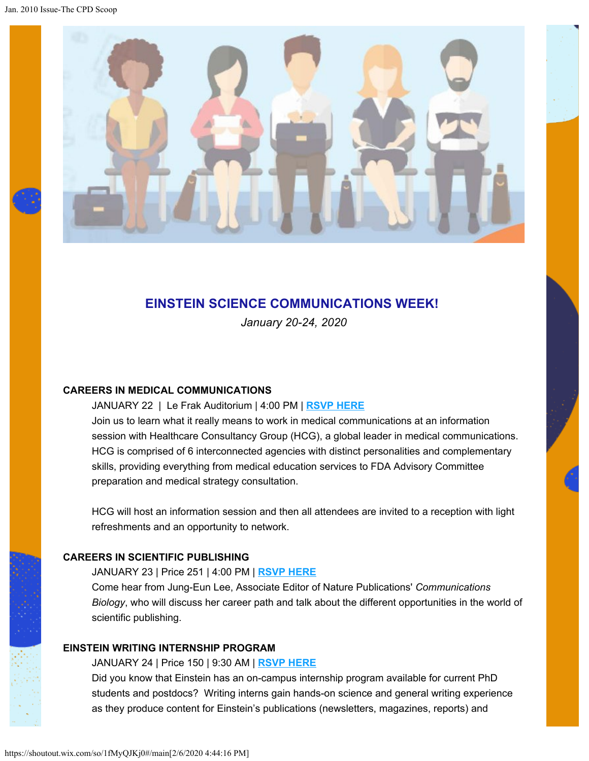

#### **EINSTEIN SCIENCE COMMUNICATIONS WEEK!**

*January 20-24, 2020*

#### **CAREERS IN MEDICAL COMMUNICATIONS**

#### JANUARY 22 | Le Frak Auditorium | 4:00 PM | **[RSVP HERE](https://shoutout.wix.com/so/1fMyQJKj0/c?w=5nktOEIfUi2OZ46cX1-8vjgdb27C9PfxtArSatxbCJc.eyJ1IjoiaHR0cHM6Ly93d3cuZXZlbnRicml0ZS5jb20vZS9jYXJlZXJzLWluLW1lZGljYWwtY29tbXVuaWNhdGlvbnMtdGlja2V0cy04NjEzNTU1ODc3NSIsInIiOiIwY2Q3NTNmZS1iNTg1LTRjMDgtMDQ1Yi00N2Q3YzM2N2IxMmEiLCJtIjoibHAifQ)**

Join us to learn what it really means to work in medical communications at an information session with Healthcare Consultancy Group (HCG), a global leader in medical communications. HCG is comprised of 6 interconnected agencies with distinct personalities and complementary skills, providing everything from medical education services to FDA Advisory Committee preparation and medical strategy consultation.

HCG will host an information session and then all attendees are invited to a reception with light refreshments and an opportunity to network.

#### **CAREERS IN SCIENTIFIC PUBLISHING**

JANUARY 23 | Price 251 | 4:00 PM | **[RSVP HERE](https://shoutout.wix.com/so/1fMyQJKj0/c?w=a_GvgS3j01utWDHUGsF6mVC15MkDgEFj4R7mpAVgiGc.eyJ1IjoiaHR0cHM6Ly93d3cuZXZlbnRicml0ZS5jb20vZS9jYXJlZXJzLWluLXNjaWVudGlmaWMtcHVibGlzaGluZy10aWNrZXRzLTg2MTM2Mjc4OTI5IiwiciI6IjBjZDc1M2ZlLWI1ODUtNGMwOC0wNDViLTQ3ZDdjMzY3YjEyYSIsIm0iOiJscCJ9)**

Come hear from Jung-Eun Lee, Associate Editor of Nature Publications' *Communications Biology*, who will discuss her career path and talk about the different opportunities in the world of scientific publishing.

#### **EINSTEIN WRITING INTERNSHIP PROGRAM**

JANUARY 24 | Price 150 | 9:30 AM | **[RSVP HERE](https://shoutout.wix.com/so/1fMyQJKj0/c?w=taynlpSOOwU1fEpI_OL-fdpAp8HqIa6aNllJcu_CV3U.eyJ1IjoiaHR0cHM6Ly93d3cuZXZlbnRicml0ZS5jb20vZS93cml0aW5nLWludGVybnNoaXAtaW5mb3JtYXRpb24tc2Vzc2lvbi10aWNrZXRzLTg2MzkwOTIyNTc1IiwiciI6IjBjZDc1M2ZlLWI1ODUtNGMwOC0wNDViLTQ3ZDdjMzY3YjEyYSIsIm0iOiJscCJ9)**

Did you know that Einstein has an on-campus internship program available for current PhD students and postdocs? Writing interns gain hands-on science and general writing experience as they produce content for Einstein's publications (newsletters, magazines, reports) and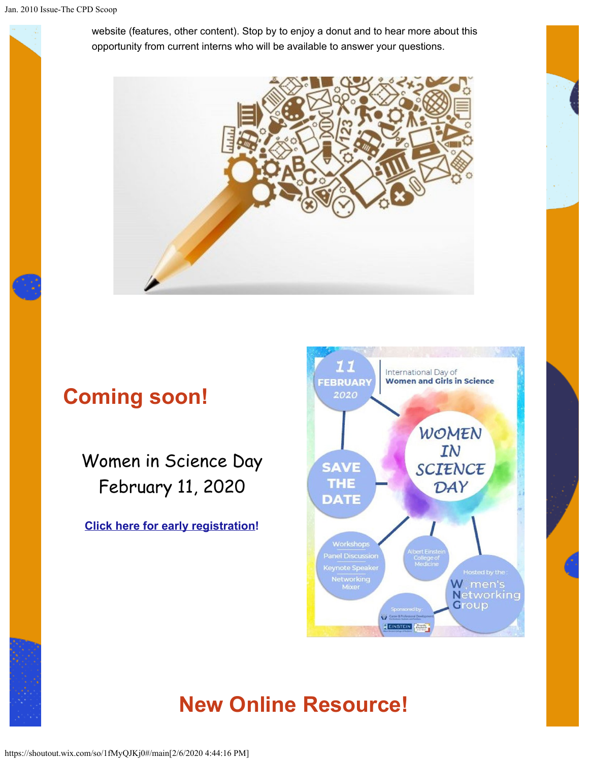

website (features, other content). Stop by to enjoy a donut and to hear more about this opportunity from current interns who will be available to answer your questions.



# **Coming soon!**

Women in Science Day February 11, 2020

**[Click here for early registration](https://shoutout.wix.com/so/1fMyQJKj0/c?w=uAunadKar4y2v9pcDsuwv9SNFhlI4ZAmWmwUX2GDseM.eyJ1IjoiaHR0cHM6Ly9uYW0wNC5zYWZlbGlua3MucHJvdGVjdGlvbi5vdXRsb29rLmNvbS8_dXJsPWh0dHBzJTNBJTJGJTJGd3d3LmV2ZW50YnJpdGUuY29tJTJGZSUyRndvbWVuLWluLXNjaWVuY2UtZGF5LXRpY2tldHMtNzMxMjQyOTE3MjUmZGF0YT0wMiU3QzAxJTdDZGlhbmUuc2FmZXIlNDBlaW5zdGVpbm1lZC5vcmclN0M0ZDMzNDMxZDkwNWU0MWRhYzhmNTA4ZDc4YTQxZjk3NiU3QzljMDFmMGZkNjVlMDQwYzA4OWE4MmRmZDUxZTYyMDI1JTdDMCU3QzAlN0M2MzcxMjk4ODgyNzE3NzM0Nzgmc2RhdGE9VnFzV0I0dWZJZU5Wb1hhRUs1Y2s5dEs5QVJIc0J3NVl4UDdLZE5UUUlkMCUzRCZyZXNlcnZlZD0wIiwiciI6ImFlZWFlNjVlLTA5YTktNDMyYS1jZWM3LWZjYjJmNjc4ODU0NCIsIm0iOiJscCJ9)!**



# **New Online Resource!**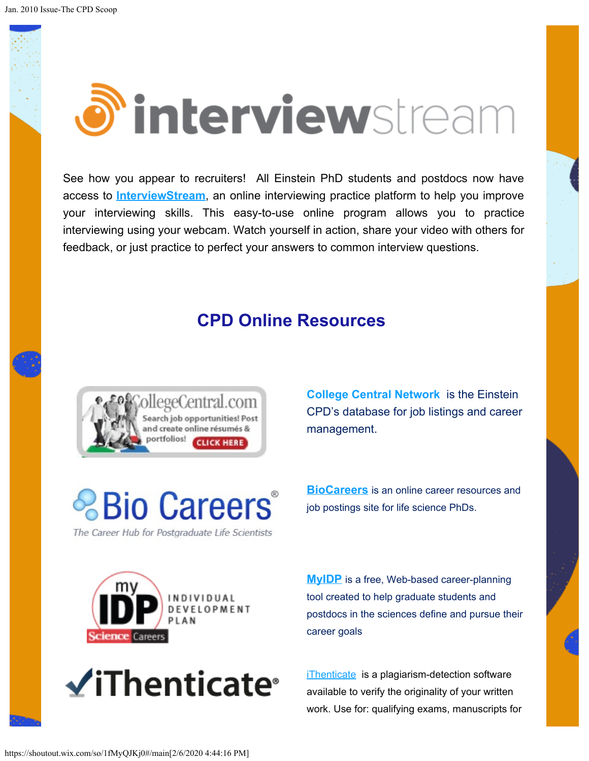# *d* interviewstream

See how you appear to recruiters! All Einstein PhD students and postdocs now have access to **[InterviewStream](https://shoutout.wix.com/so/1fMyQJKj0/c?w=7_oIu8jomJi_jOgZGov81k3ZIvhTHCqvu8lC9x-OeEY.eyJ1IjoiaHR0cHM6Ly9laW5zdGVpbi5pbnRlcnZpZXdzdHJlYW0uY29tIiwiciI6IjE4NzY0NjQ5LTZkMGUtNDJmNS0yMGRiLTBmYmMxOGFkZTVhNCIsIm0iOiJscCJ9)**, an online interviewing practice platform to help you improve your interviewing skills. This easy-to-use online program allows you to practice interviewing using your webcam. Watch yourself in action, share your video with others for feedback, or just practice to perfect your answers to common interview questions.

### **CPD Online Resources**



**[College Central Network](https://shoutout.wix.com/so/1fMyQJKj0/c?w=cAZAmGiMVMe7YMHTPmv3TRGO3VBOvzlrlweYPYM3RTE.eyJ1IjoiaHR0cHM6Ly93d3cuY29sbGVnZWNlbnRyYWwuY29tL2VpbnN0ZWluL1N0dWRlbnQuY2ZtIiwiciI6IjE5OGNjOTMyLTFmNjgtNGZlOC01MTJhLWNkOGMyMzQ0NzUwNCIsIm0iOiJscCJ9)** is the Einstein CPD's database for job listings and career management.

**& Bio Careers** 

The Career Hub for Postgraduate Life Scientists

**[BioCareers](https://shoutout.wix.com/so/1fMyQJKj0/c?w=AUu7pcavurm_3N0Y3xq_bcs1YNTeZKx62sRc221LZHk.eyJ1IjoiaHR0cHM6Ly9iaW9jYXJlZXJzLmNvbS8iLCJyIjoiOTk2YWUwMzAtMDhhNC00Yjk2LTg0OTItMDliNDI3OThmZmJhIiwibSI6ImxwIn0)** is an online career resources and job postings site for life science PhDs.





**[MyIDP](https://shoutout.wix.com/so/1fMyQJKj0/c?w=UamflxS14XGbFZf1wEJhafA8vX7LXYhubFG9C02K64E.eyJ1IjoiaHR0cHM6Ly9teWlkcC5zY2llbmNlY2FyZWVycy5vcmciLCJyIjoiNGJkN2FjNzUtYjI2NC00MGMxLWNmYmUtMjU2NzcwNWQwYTMwIiwibSI6ImxwIn0)** is a free, Web-based career-planning tool created to help graduate students and postdocs in the sciences define and pursue their career goals

[iThenticate](https://shoutout.wix.com/so/1fMyQJKj0/c?w=H_QGledGJD-jUhEeVL735ntiOajPIbj6SxGGUEAsZp0.eyJ1IjoiaHR0cDovL2xpYmd1aWRlcy5laW5zdGVpbi55dS5lZHUvYy5waHA_Zz0xMjM0NjEmcD04MDg0MTQiLCJyIjoiNTM4YWRiMDUtMjRlMS00MGVhLWEwMDUtMGZmYTZmYTVmMzRiIiwibSI6ImxwIn0) is a plagiarism-detection software available to verify the originality of your written work. Use for: qualifying exams, manuscripts for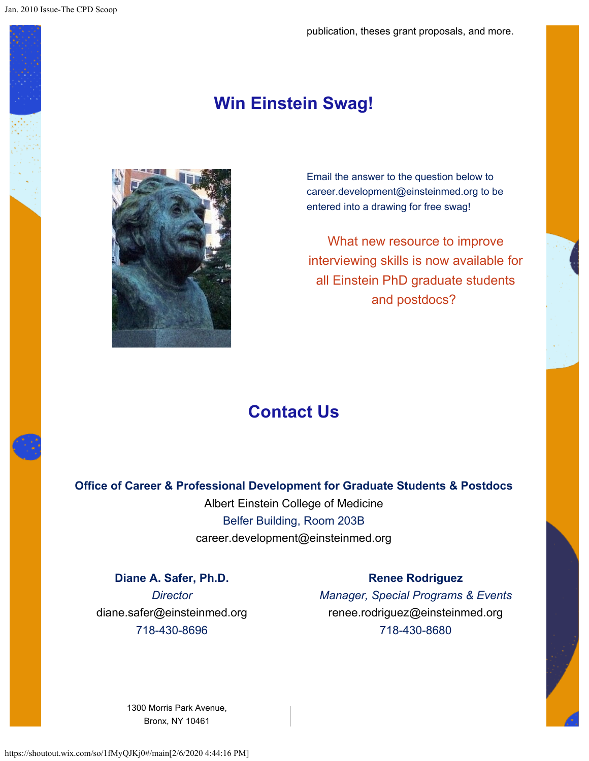### **Win Einstein Swag!**



Email the answer to the question below to career.development@einsteinmed.org to be entered into a drawing for free swag!

What new resource to improve interviewing skills is now available for all Einstein PhD graduate students and postdocs?

## **Contact Us**

**Office of Career & Professional Development for Graduate Students & Postdocs**

Albert Einstein College of Medicine Belfer Building, Room 203B career.development@einsteinmed.org

**Diane A. Safer, Ph.D.** *Director* diane.safer@einsteinmed.org 718-430-8696

#### **Renee Rodriguez**

*Manager, Special Programs & Events* renee.rodriguez@einsteinmed.org 718-430-8680

[1300 Morris Park Avenue,](https://maps.google.com/?q=1300%20Morris%20Park%20Avenue,%20Bronx,%20NY%2010461) [Bronx, NY 10461](https://maps.google.com/?q=1300%20Morris%20Park%20Avenue,%20Bronx,%20NY%2010461)